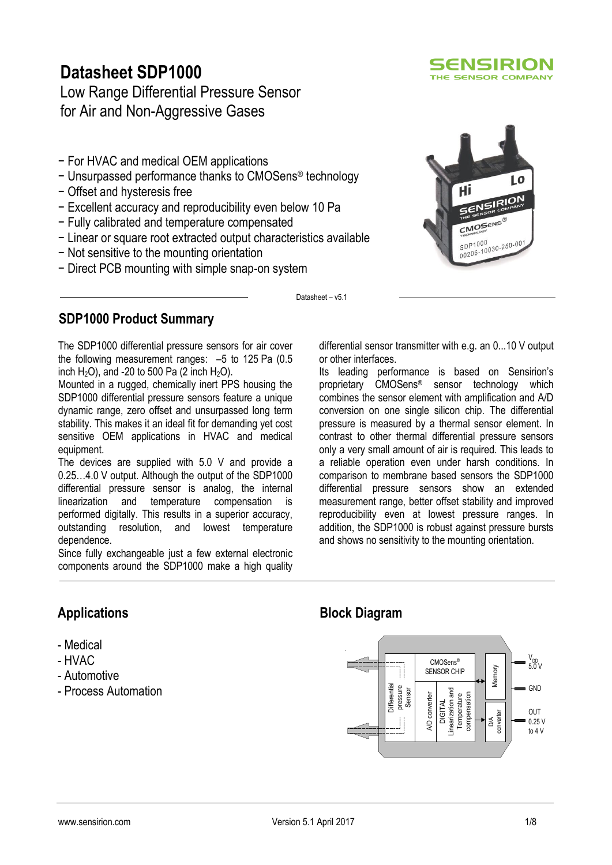# **Datasheet SDP1000**

Low Range Differential Pressure Sensor for Air and Non-Aggressive Gases

- − For HVAC and medical OEM applications
- − Unsurpassed performance thanks to CMOSens® technology
- − Offset and hysteresis free
- − Excellent accuracy and reproducibility even below 10 Pa
- − Fully calibrated and temperature compensated
- − Linear or square root extracted output characteristics available
- − Not sensitive to the mounting orientation
- − Direct PCB mounting with simple snap-on system





Datasheet – v5.1

# **SDP1000 Product Summary**

The SDP1000 differential pressure sensors for air cover the following measurement ranges: –5 to 125 Pa (0.5 inch  $H_2O$ ), and -20 to 500 Pa (2 inch  $H_2O$ ).

Mounted in a rugged, chemically inert PPS housing the SDP1000 differential pressure sensors feature a unique dynamic range, zero offset and unsurpassed long term stability. This makes it an ideal fit for demanding yet cost sensitive OEM applications in HVAC and medical equipment.

The devices are supplied with 5.0 V and provide a 0.25…4.0 V output. Although the output of the SDP1000 differential pressure sensor is analog, the internal linearization and temperature compensation is performed digitally. This results in a superior accuracy, outstanding resolution, and lowest temperature dependence.

Since fully exchangeable just a few external electronic components around the SDP1000 make a high quality differential sensor transmitter with e.g. an 0...10 V output or other interfaces.

Its leading performance is based on Sensirion's proprietary CMOSens® sensor technology which combines the sensor element with amplification and A/D conversion on one single silicon chip. The differential pressure is measured by a thermal sensor element. In contrast to other thermal differential pressure sensors only a very small amount of air is required. This leads to a reliable operation even under harsh conditions. In comparison to membrane based sensors the SDP1000 differential pressure sensors show an extended measurement range, better offset stability and improved reproducibility even at lowest pressure ranges. In addition, the SDP1000 is robust against pressure bursts and shows no sensitivity to the mounting orientation.

# **Applications**

- Medical
- HVAC
- Automotive
- Process Automation

# **Block Diagram**

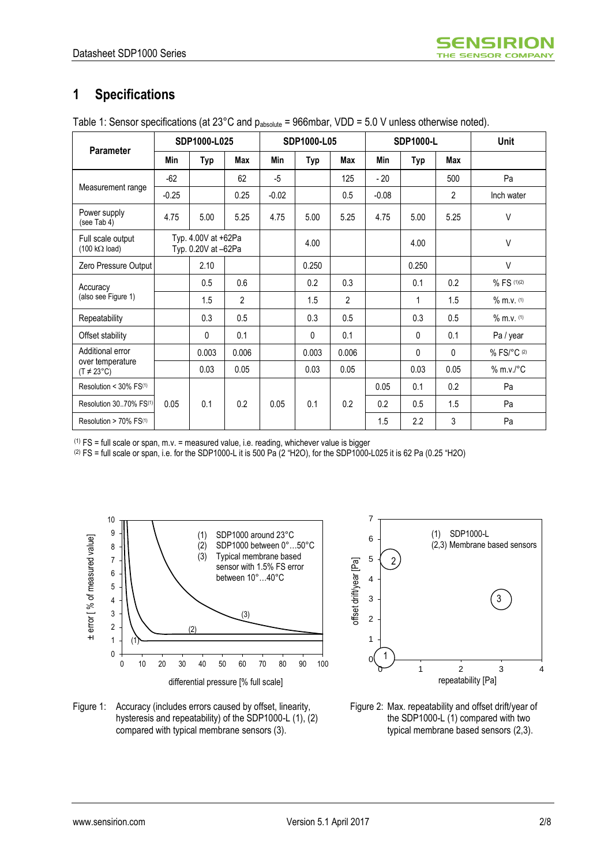# **1 Specifications**

| Parameter                                                 |         | SDP1000-L025                               |                |         | SDP1000-L05 |                |         | <b>SDP1000-L</b> | Unit           |                    |
|-----------------------------------------------------------|---------|--------------------------------------------|----------------|---------|-------------|----------------|---------|------------------|----------------|--------------------|
|                                                           | Min     | <b>Typ</b>                                 | <b>Max</b>     | Min     | Typ         | Max            | Min     | <b>Typ</b>       | <b>Max</b>     |                    |
|                                                           | $-62$   |                                            | 62             | $-5$    |             | 125            | $-20$   |                  | 500            | Pa                 |
| Measurement range                                         | $-0.25$ |                                            | 0.25           | $-0.02$ |             | 0.5            | $-0.08$ |                  | $\overline{2}$ | Inch water         |
| Power supply<br>(see Tab 4)                               | 4.75    | 5.00                                       | 5.25           | 4.75    | 5.00        | 5.25           | 4.75    | 5.00             | 5.25           | $\vee$             |
| Full scale output<br>$(100 \text{ k}\Omega \text{ load})$ |         | Typ. 4.00V at +62Pa<br>Typ. 0.20V at -62Pa |                |         | 4.00        |                |         | 4.00             |                | $\vee$             |
| Zero Pressure Output                                      |         | 2.10                                       |                |         | 0.250       |                |         | 0.250            |                | $\vee$             |
| Accuracy                                                  |         | 0.5                                        | 0.6            |         | 0.2         | 0.3            |         | 0.1              | 0.2            | % FS (1)(2)        |
| (also see Figure 1)                                       |         | 1.5                                        | $\overline{2}$ |         | 1.5         | $\overline{2}$ |         | 1                | 1.5            | % m.v. (1)         |
| Repeatability                                             |         | 0.3                                        | 0.5            |         | 0.3         | 0.5            |         | 0.3              | 0.5            | % m.v. (1)         |
| Offset stability                                          |         | 0                                          | 0.1            |         | 0           | 0.1            |         | $\Omega$         | 0.1            | Pa / year          |
| Additional error                                          |         | 0.003                                      | 0.006          |         | 0.003       | 0.006          |         | $\Omega$         | $\Omega$       | % FS/°C (2)        |
| over temperature<br>$(T \neq 23^{\circ}C)$                |         | 0.03                                       | 0.05           |         | 0.03        | 0.05           |         | 0.03             | 0.05           | $% m.v.^{\circ}$ C |
| Resolution < $30\%$ FS <sup>(1)</sup>                     |         |                                            |                |         |             |                | 0.05    | 0.1              | 0.2            | Pa                 |
| Resolution 3070% FS(1)                                    | 0.05    | 0.1                                        | 0.2            | 0.05    | 0.1         | 0.2            | 0.2     | 0.5              | 1.5            | Pa                 |
| Resolution > 70% FS(1)                                    |         |                                            |                |         |             |                | 1.5     | 2.2              | 3              | Pa                 |

 $(1)$  FS = full scale or span, m.v. = measured value, i.e. reading, whichever value is bigger

 $(2)$  FS = full scale or span, i.e. for the SDP1000-L it is 500 Pa (2 "H2O), for the SDP1000-L025 it is 62 Pa (0.25 "H2O)







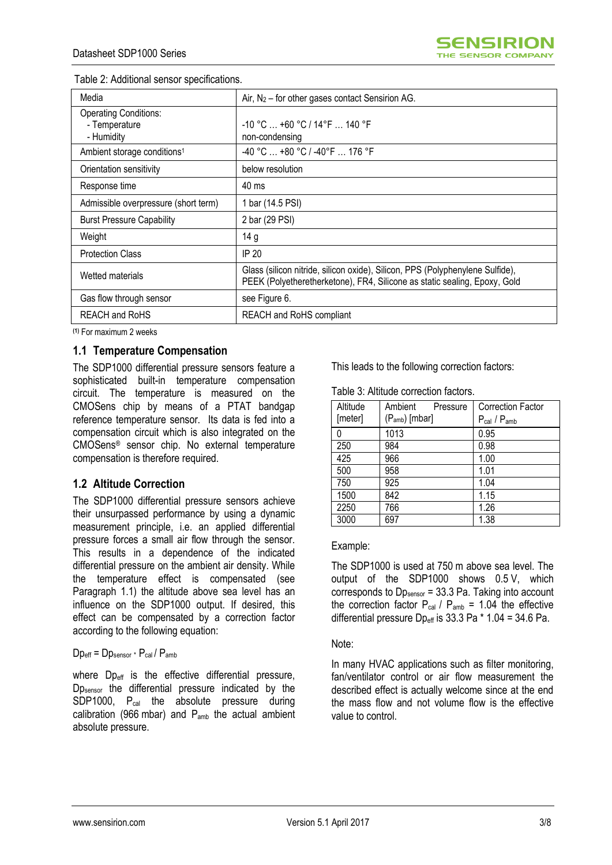| Media                                                       | Air, $N_2$ – for other gases contact Sensirion AG.                                                                                                         |
|-------------------------------------------------------------|------------------------------------------------------------------------------------------------------------------------------------------------------------|
| <b>Operating Conditions:</b><br>- Temperature<br>- Humidity | -10 °C  +60 °C / 14 °F  140 °F<br>non-condensing                                                                                                           |
| Ambient storage conditions <sup>1</sup>                     | -40 °C  +80 °C / -40°F  176 °F                                                                                                                             |
| Orientation sensitivity                                     | below resolution                                                                                                                                           |
| Response time                                               | 40 ms                                                                                                                                                      |
| Admissible overpressure (short term)                        | 1 bar (14.5 PSI)                                                                                                                                           |
| <b>Burst Pressure Capability</b>                            | 2 bar (29 PSI)                                                                                                                                             |
| Weight                                                      | 14 g                                                                                                                                                       |
| <b>Protection Class</b>                                     | <b>IP 20</b>                                                                                                                                               |
| Wetted materials                                            | Glass (silicon nitride, silicon oxide), Silicon, PPS (Polyphenylene Sulfide),<br>PEEK (Polyetheretherketone), FR4, Silicone as static sealing, Epoxy, Gold |
| Gas flow through sensor                                     | see Figure 6.                                                                                                                                              |
| <b>REACH and RoHS</b>                                       | REACH and RoHS compliant                                                                                                                                   |

| Table 2: Additional sensor specifications. |  |
|--------------------------------------------|--|
|--------------------------------------------|--|

**(1)** For maximum 2 weeks

### **1.1 Temperature Compensation**

The SDP1000 differential pressure sensors feature a sophisticated built-in temperature compensation circuit. The temperature is measured on the CMOSens chip by means of a PTAT bandgap reference temperature sensor. Its data is fed into a compensation circuit which is also integrated on the CMOSens® sensor chip. No external temperature compensation is therefore required.

### **1.2 Altitude Correction**

The SDP1000 differential pressure sensors achieve their unsurpassed performance by using a dynamic measurement principle, i.e. an applied differential pressure forces a small air flow through the sensor. This results in a dependence of the indicated differential pressure on the ambient air density. While the temperature effect is compensated (see Paragraph 1.1) the altitude above sea level has an influence on the SDP1000 output. If desired, this effect can be compensated by a correction factor according to the following equation:

#### Dp<sub>eff</sub> = Dp<sub>sensor</sub> \* P<sub>cal</sub> / P<sub>amb</sub>

where  $Dp_{\text{eff}}$  is the effective differential pressure, Dp<sub>sensor</sub> the differential pressure indicated by the SDP1000, P<sub>cal</sub> the absolute pressure during calibration (966 mbar) and Pamb the actual ambient absolute pressure.

This leads to the following correction factors:

Table 3: Altitude correction factors.

| Altitude | Ambient<br>Pressure        | <b>Correction Factor</b> |
|----------|----------------------------|--------------------------|
| [meter]  | (P <sub>amb</sub> ) [mbar] | $P_{cal}$ / $P_{amb}$    |
|          | 1013                       | 0.95                     |
| 250      | 984                        | 0.98                     |
| 425      | 966                        | 1.00                     |
| 500      | 958                        | 1.01                     |
| 750      | 925                        | 1.04                     |
| 1500     | 842                        | 1.15                     |
| 2250     | 766                        | 1.26                     |
| 3000     | 697                        | 1.38                     |

Example:

The SDP1000 is used at 750 m above sea level. The output of the SDP1000 shows 0.5 V, which corresponds to  $Dp_{\text{sensor}} = 33.3$  Pa. Taking into account the correction factor  $P_{cal}$  /  $P_{amb}$  = 1.04 the effective differential pressure  $Dp_{eff}$  is 33.3 Pa  $*$  1.04 = 34.6 Pa.

#### Note:

In many HVAC applications such as filter monitoring, fan/ventilator control or air flow measurement the described effect is actually welcome since at the end the mass flow and not volume flow is the effective value to control.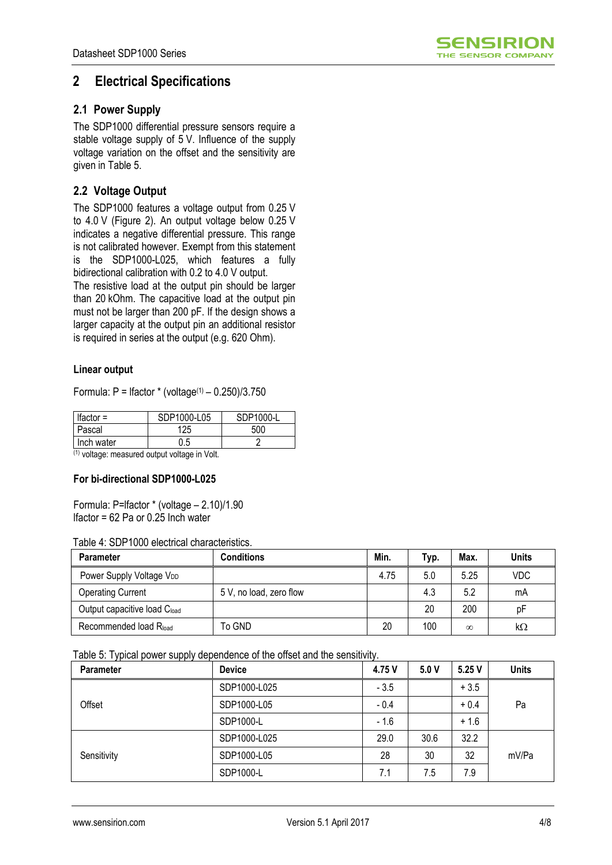

# **2 Electrical Specifications**

### **2.1 Power Supply**

The SDP1000 differential pressure sensors require a stable voltage supply of 5 V. Influence of the supply voltage variation on the offset and the sensitivity are given in Table 5.

### **2.2 Voltage Output**

The SDP1000 features a voltage output from 0.25 V to 4.0 V (Figure 2). An output voltage below 0.25 V indicates a negative differential pressure. This range is not calibrated however. Exempt from this statement is the SDP1000-L025, which features a fully bidirectional calibration with 0.2 to 4.0 V output.

The resistive load at the output pin should be larger than 20 kOhm. The capacitive load at the output pin must not be larger than 200 pF. If the design shows a larger capacity at the output pin an additional resistor is required in series at the output (e.g. 620 Ohm).

### **Linear output**

Formula:  $P =$  Ifactor  $*$  (voltage<sup>(1)</sup> – 0.250)/3.750

| Ifactor $=$ | SDP1000-L05 | SDP1000-L |
|-------------|-------------|-----------|
| Pascal      | 125         | 500       |
| Inch water  | J.5         |           |

 $(1)$  voltage: measured output voltage in Volt.

#### **For bi-directional SDP1000-L025**

Formula: P=lfactor \* (voltage – 2.10)/1.90 lfactor = 62 Pa or 0.25 Inch water

#### Table 4: SDP1000 electrical characteristics.

| <b>Parameter</b>                     | <b>Conditions</b>       | Min. | Typ. | Max.     | <b>Units</b> |
|--------------------------------------|-------------------------|------|------|----------|--------------|
| Power Supply Voltage V <sub>DD</sub> |                         | 4.75 | 5.0  | 5.25     | VDC          |
| <b>Operating Current</b>             | 5 V, no load, zero flow |      | 4.3  | 5.2      | mA           |
| Output capacitive load Cload         |                         |      | 20   | 200      | рF           |
| Recommended load Rload               | To GND                  | 20   | 100  | $\infty$ | kΩ           |

Table 5: Typical power supply dependence of the offset and the sensitivity.

| . .<br>.<br><b>Parameter</b> | <b>Device</b> | 4.75 V | 5.0V | 5.25 V | <b>Units</b> |  |
|------------------------------|---------------|--------|------|--------|--------------|--|
|                              | SDP1000-L025  | $-3.5$ |      | $+3.5$ |              |  |
| Offset                       | SDP1000-L05   | $-0.4$ |      | $+0.4$ | Pa           |  |
|                              | SDP1000-L     | $-1.6$ |      | $+1.6$ |              |  |
|                              | SDP1000-L025  | 29.0   | 30.6 | 32.2   |              |  |
| Sensitivity                  | SDP1000-L05   | 28     | 30   | 32     | mV/Pa        |  |
|                              | SDP1000-L     | 7.1    | 7.5  | 7.9    |              |  |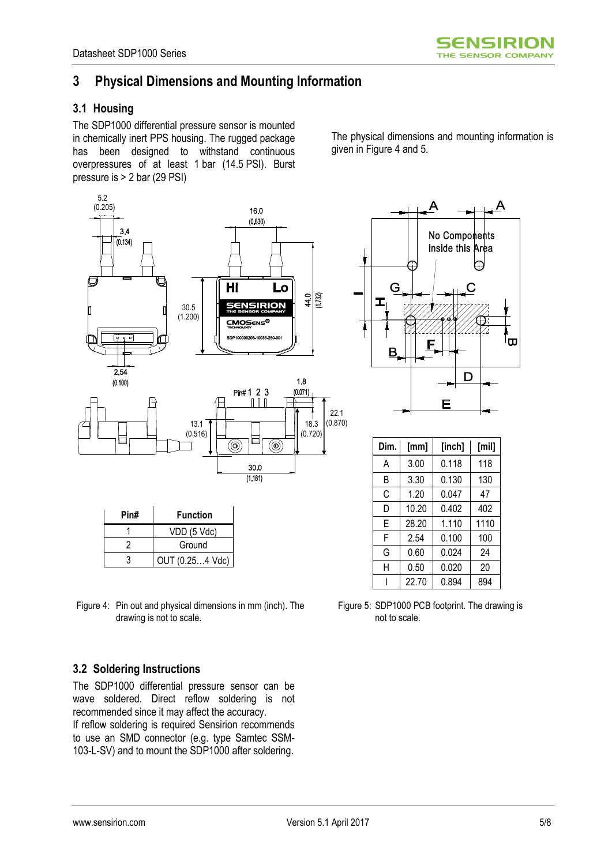# **3 Physical Dimensions and Mounting Information**

### **3.1 Housing**

The SDP1000 differential pressure sensor is mounted in chemically inert PPS housing. The rugged package has been designed to withstand continuous overpressures of at least 1 bar (14.5 PSI). Burst pressure is > 2 bar (29 PSI)

The physical dimensions and mounting information is given in Figure 4 and 5.





| Dim. | [mm]  | [inch] | [min] |
|------|-------|--------|-------|
| A    | 3.00  | 0.118  | 118   |
| B    | 3.30  | 0.130  | 130   |
| C    | 1.20  | 0.047  | 47    |
| D    | 10.20 | 0.402  | 402   |
| E    | 28.20 | 1.110  | 1110  |
| F    | 2.54  | 0.100  | 100   |
| G    | 0.60  | 0.024  | 24    |
| Н    | 0.50  | 0.020  | 20    |
|      | 22.70 | 0.894  | 894   |

Figure 4: Pin out and physical dimensions in mm (inch). The drawing is not to scale.

3 OUT (0.25…4 Vdc)

#### Figure 5: SDP1000 PCB footprint. The drawing is not to scale.

### **3.2 Soldering Instructions**

The SDP1000 differential pressure sensor can be wave soldered. Direct reflow soldering is not recommended since it may affect the accuracy. If reflow soldering is required Sensirion recommends to use an SMD connector (e.g. type Samtec SSM-103-L-SV) and to mount the SDP1000 after soldering.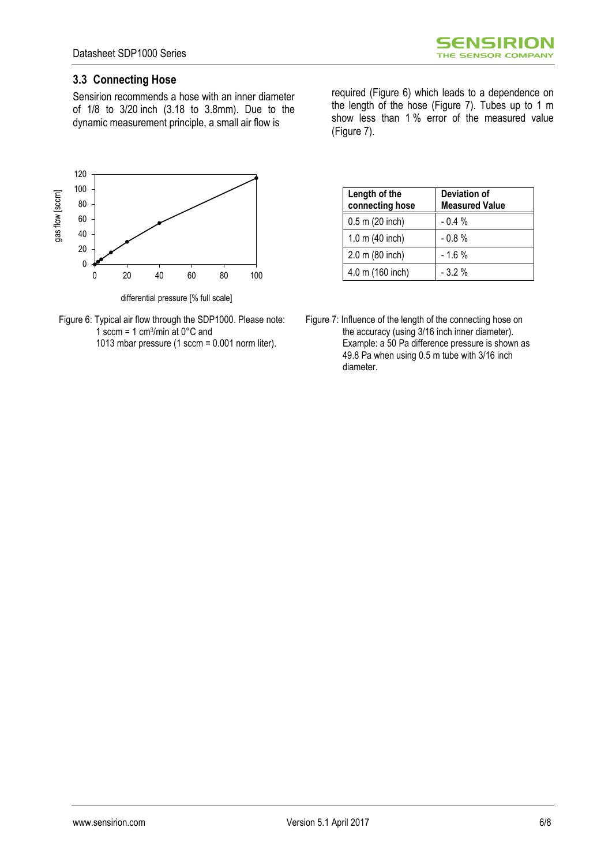### **3.3 Connecting Hose**

Sensirion recommends a hose with an inner diameter of 1/8 to 3/20 inch (3.18 to 3.8mm). Due to the dynamic measurement principle, a small air flow is





required (Figure 6) which leads to a dependence on the length of the hose (Figure 7). Tubes up to 1 m show less than 1 % error of the measured value (Figure 7).

| Length of the<br>connecting hose | Deviation of<br><b>Measured Value</b> |  |  |  |
|----------------------------------|---------------------------------------|--|--|--|
| $0.5$ m (20 inch)                | $-0.4%$                               |  |  |  |
| 1.0 m $(40$ inch)                | $-0.8%$                               |  |  |  |
| 2.0 m (80 inch)                  | $-1.6%$                               |  |  |  |
| 4.0 m (160 inch)                 | $-3.2%$                               |  |  |  |

Figure 7: Influence of the length of the connecting hose on the accuracy (using 3/16 inch inner diameter). Example: a 50 Pa difference pressure is shown as 49.8 Pa when using 0.5 m tube with 3/16 inch diameter.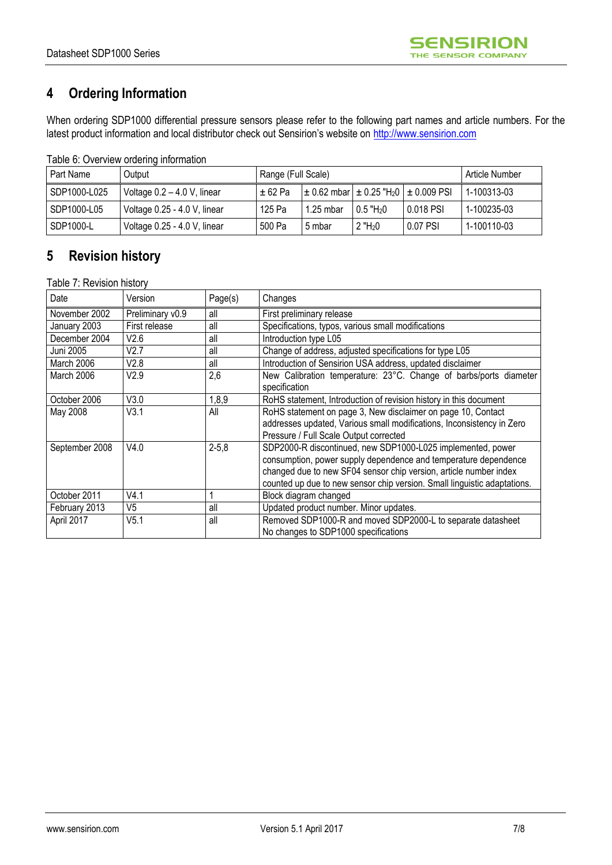# **4 Ordering Information**

When ordering SDP1000 differential pressure sensors please refer to the following part names and article numbers. For the latest product information and local distributor check out Sensirion's website on [http://www.sensirion.com](http://www.sensirion.com/)

Table 6: Overview ordering information

| Part Name    | Output                        | Range (Full Scale) |             |                         | Article Number                                               |             |
|--------------|-------------------------------|--------------------|-------------|-------------------------|--------------------------------------------------------------|-------------|
| SDP1000-L025 | Voltage $0.2 - 4.0$ V, linear | +62 Pa             |             |                         | $\pm$ 0.62 mbar $\pm$ 0.25 "H <sub>2</sub> 0 $\pm$ 0.009 PSI | 1-100313-03 |
| SDP1000-L05  | Voltage 0.25 - 4.0 V, linear  | 125 Pa             | $1.25$ mbar | $0.5$ "H <sub>2</sub> 0 | 0.018 PSI                                                    | 1-100235-03 |
| SDP1000-L    | Voltage 0.25 - 4.0 V, linear  | 500 Pa             | 5 mbar      | $2$ "H <sub>2</sub> 0   | l 0.07 PSI                                                   | 1-100110-03 |

# **5 Revision history**

Table 7: Revision history

| Date           | Version          | Page(s)    | Changes                                                                                                                                                                                                                                                                         |
|----------------|------------------|------------|---------------------------------------------------------------------------------------------------------------------------------------------------------------------------------------------------------------------------------------------------------------------------------|
| November 2002  | Preliminary v0.9 | all        | First preliminary release                                                                                                                                                                                                                                                       |
| January 2003   | First release    | all        | Specifications, typos, various small modifications                                                                                                                                                                                                                              |
| December 2004  | V2.6             | all        | Introduction type L05                                                                                                                                                                                                                                                           |
| Juni 2005      | V2.7             | all        | Change of address, adjusted specifications for type L05                                                                                                                                                                                                                         |
| March 2006     | V2.8             | all        | Introduction of Sensirion USA address, updated disclaimer                                                                                                                                                                                                                       |
| March 2006     | V2.9             | 2,6        | New Calibration temperature: 23°C. Change of barbs/ports diameter<br>specification                                                                                                                                                                                              |
| October 2006   | V3.0             | 1,8,9      | RoHS statement, Introduction of revision history in this document                                                                                                                                                                                                               |
| May 2008       | V3.1             | All        | RoHS statement on page 3, New disclaimer on page 10, Contact<br>addresses updated, Various small modifications, Inconsistency in Zero<br>Pressure / Full Scale Output corrected                                                                                                 |
| September 2008 | V4.0             | $2 - 5, 8$ | SDP2000-R discontinued, new SDP1000-L025 implemented, power<br>consumption, power supply dependence and temperature dependence<br>changed due to new SF04 sensor chip version, article number index<br>counted up due to new sensor chip version. Small linguistic adaptations. |
| October 2011   | V4.1             |            | Block diagram changed                                                                                                                                                                                                                                                           |
| February 2013  | V <sub>5</sub>   | all        | Updated product number. Minor updates.                                                                                                                                                                                                                                          |
| April 2017     | V5.1             | all        | Removed SDP1000-R and moved SDP2000-L to separate datasheet<br>No changes to SDP1000 specifications                                                                                                                                                                             |